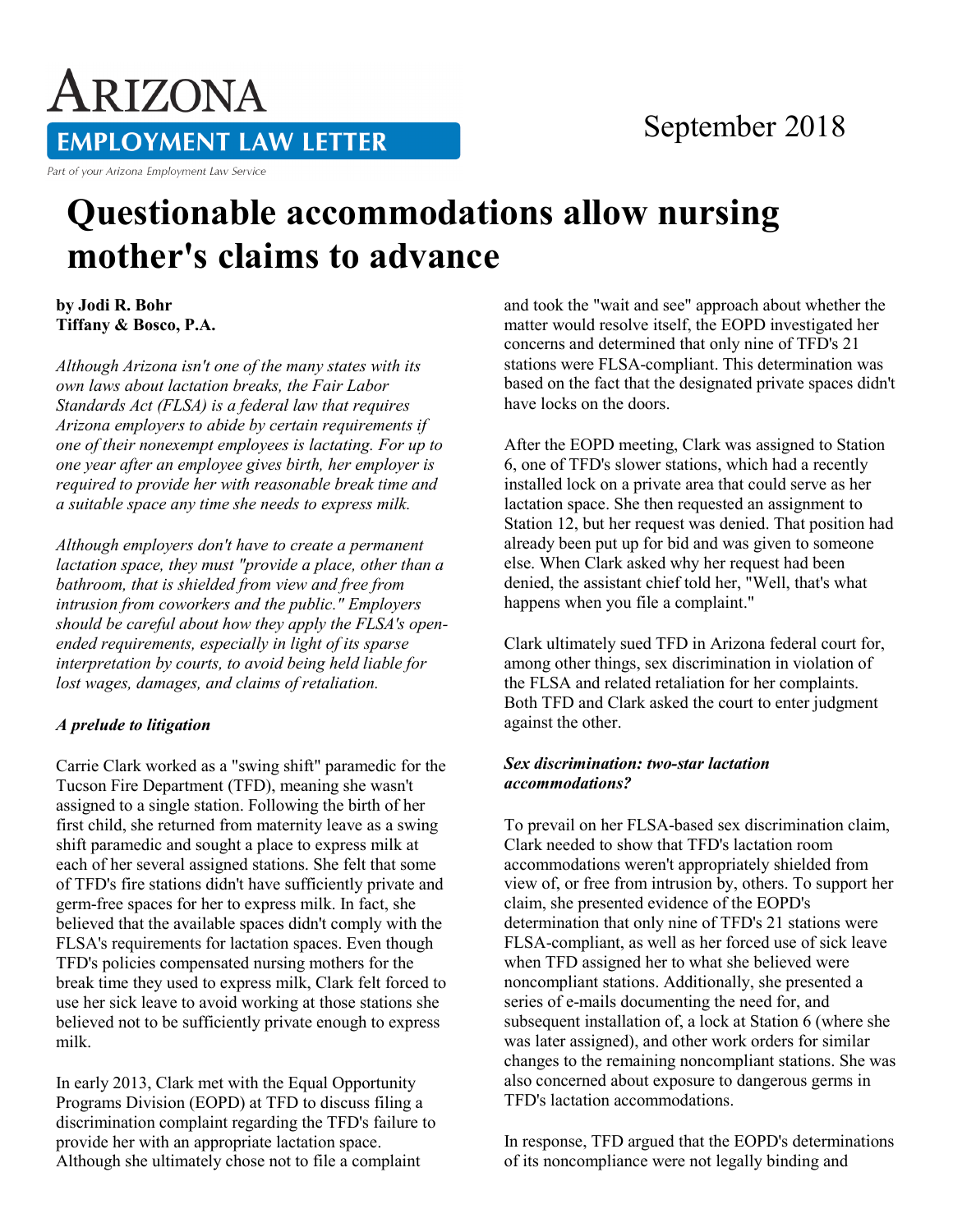# ARIZONA **EMPLOYMENT LAW LETTER**

Part of your Arizona Employment Law Service

### September 2018

## **Questionable accommodations allow nursing mother's claims to advance**

**by Jodi R. Bohr Tiffany & Bosco, P.A.** 

*Although Arizona isn't one of the many states with its own laws about lactation breaks, the Fair Labor Standards Act (FLSA) is a federal law that requires Arizona employers to abide by certain requirements if one of their nonexempt employees is lactating. For up to one year after an employee gives birth, her employer is required to provide her with reasonable break time and a suitable space any time she needs to express milk.*

*Although employers don't have to create a permanent lactation space, they must "provide a place, other than a bathroom, that is shielded from view and free from intrusion from coworkers and the public." Employers should be careful about how they apply the FLSA's openended requirements, especially in light of its sparse interpretation by courts, to avoid being held liable for lost wages, damages, and claims of retaliation.*

#### *A prelude to litigation*

Carrie Clark worked as a "swing shift" paramedic for the Tucson Fire Department (TFD), meaning she wasn't assigned to a single station. Following the birth of her first child, she returned from maternity leave as a swing shift paramedic and sought a place to express milk at each of her several assigned stations. She felt that some of TFD's fire stations didn't have sufficiently private and germ-free spaces for her to express milk. In fact, she believed that the available spaces didn't comply with the FLSA's requirements for lactation spaces. Even though TFD's policies compensated nursing mothers for the break time they used to express milk, Clark felt forced to use her sick leave to avoid working at those stations she believed not to be sufficiently private enough to express milk.

In early 2013, Clark met with the Equal Opportunity Programs Division (EOPD) at TFD to discuss filing a discrimination complaint regarding the TFD's failure to provide her with an appropriate lactation space. Although she ultimately chose not to file a complaint

and took the "wait and see" approach about whether the matter would resolve itself, the EOPD investigated her concerns and determined that only nine of TFD's 21 stations were FLSA-compliant. This determination was based on the fact that the designated private spaces didn't have locks on the doors.

After the EOPD meeting, Clark was assigned to Station 6, one of TFD's slower stations, which had a recently installed lock on a private area that could serve as her lactation space. She then requested an assignment to Station 12, but her request was denied. That position had already been put up for bid and was given to someone else. When Clark asked why her request had been denied, the assistant chief told her, "Well, that's what happens when you file a complaint."

Clark ultimately sued TFD in Arizona federal court for, among other things, sex discrimination in violation of the FLSA and related retaliation for her complaints. Both TFD and Clark asked the court to enter judgment against the other.

#### *Sex discrimination: two-star lactation accommodations?*

To prevail on her FLSA-based sex discrimination claim, Clark needed to show that TFD's lactation room accommodations weren't appropriately shielded from view of, or free from intrusion by, others. To support her claim, she presented evidence of the EOPD's determination that only nine of TFD's 21 stations were FLSA-compliant, as well as her forced use of sick leave when TFD assigned her to what she believed were noncompliant stations. Additionally, she presented a series of e-mails documenting the need for, and subsequent installation of, a lock at Station 6 (where she was later assigned), and other work orders for similar changes to the remaining noncompliant stations. She was also concerned about exposure to dangerous germs in TFD's lactation accommodations.

In response, TFD argued that the EOPD's determinations of its noncompliance were not legally binding and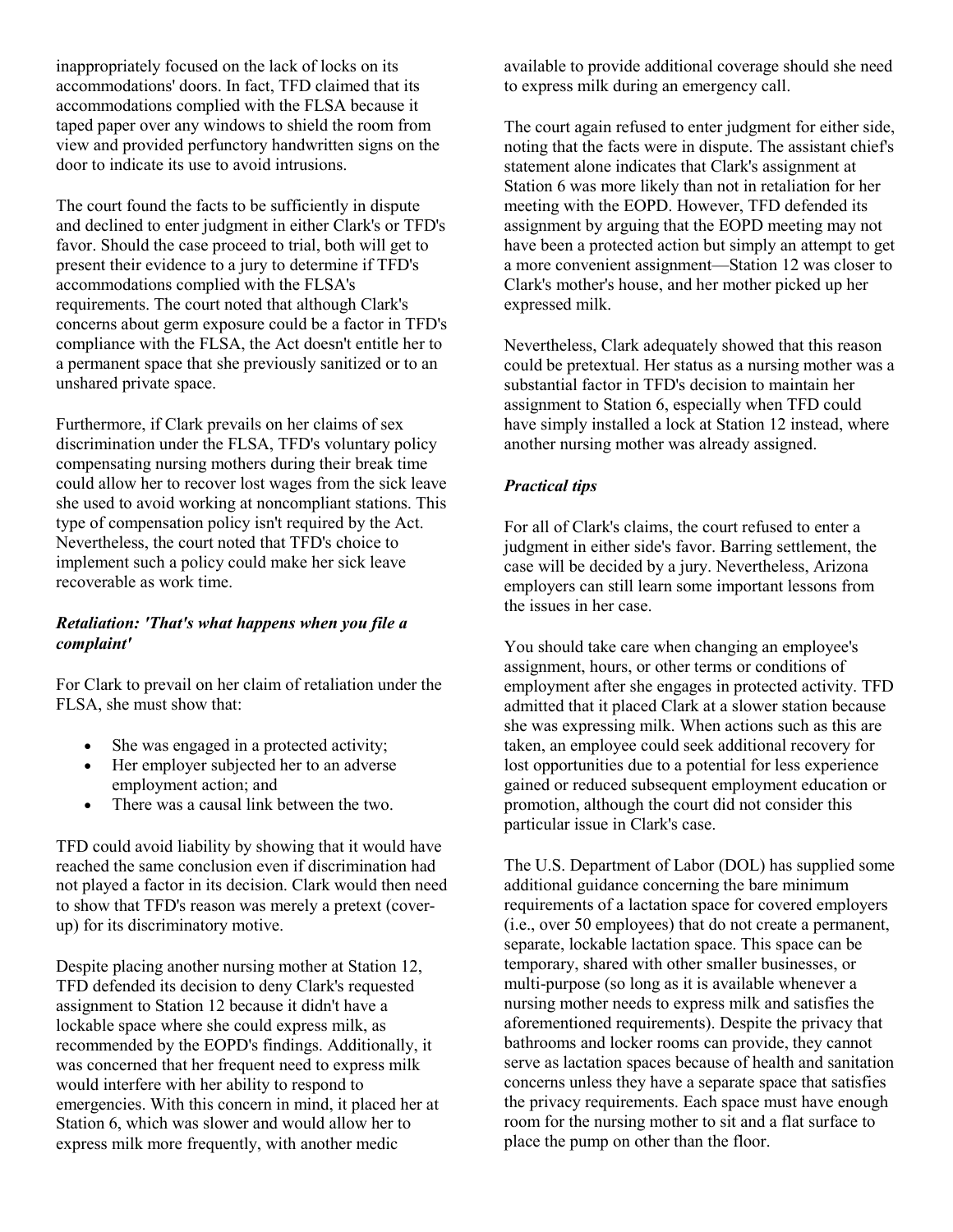inappropriately focused on the lack of locks on its accommodations' doors. In fact, TFD claimed that its accommodations complied with the FLSA because it taped paper over any windows to shield the room from view and provided perfunctory handwritten signs on the door to indicate its use to avoid intrusions.

The court found the facts to be sufficiently in dispute and declined to enter judgment in either Clark's or TFD's favor. Should the case proceed to trial, both will get to present their evidence to a jury to determine if TFD's accommodations complied with the FLSA's requirements. The court noted that although Clark's concerns about germ exposure could be a factor in TFD's compliance with the FLSA, the Act doesn't entitle her to a permanent space that she previously sanitized or to an unshared private space.

Furthermore, if Clark prevails on her claims of sex discrimination under the FLSA, TFD's voluntary policy compensating nursing mothers during their break time could allow her to recover lost wages from the sick leave she used to avoid working at noncompliant stations. This type of compensation policy isn't required by the Act. Nevertheless, the court noted that TFD's choice to implement such a policy could make her sick leave recoverable as work time.

#### *Retaliation: 'That's what happens when you file a complaint'*

For Clark to prevail on her claim of retaliation under the FLSA, she must show that:

- She was engaged in a protected activity;
- Her employer subjected her to an adverse employment action; and
- There was a causal link between the two.

TFD could avoid liability by showing that it would have reached the same conclusion even if discrimination had not played a factor in its decision. Clark would then need to show that TFD's reason was merely a pretext (coverup) for its discriminatory motive.

Despite placing another nursing mother at Station 12, TFD defended its decision to deny Clark's requested assignment to Station 12 because it didn't have a lockable space where she could express milk, as recommended by the EOPD's findings. Additionally, it was concerned that her frequent need to express milk would interfere with her ability to respond to emergencies. With this concern in mind, it placed her at Station 6, which was slower and would allow her to express milk more frequently, with another medic

available to provide additional coverage should she need to express milk during an emergency call.

The court again refused to enter judgment for either side, noting that the facts were in dispute. The assistant chief's statement alone indicates that Clark's assignment at Station 6 was more likely than not in retaliation for her meeting with the EOPD. However, TFD defended its assignment by arguing that the EOPD meeting may not have been a protected action but simply an attempt to get a more convenient assignment—Station 12 was closer to Clark's mother's house, and her mother picked up her expressed milk.

Nevertheless, Clark adequately showed that this reason could be pretextual. Her status as a nursing mother was a substantial factor in TFD's decision to maintain her assignment to Station 6, especially when TFD could have simply installed a lock at Station 12 instead, where another nursing mother was already assigned.

#### *Practical tips*

For all of Clark's claims, the court refused to enter a judgment in either side's favor. Barring settlement, the case will be decided by a jury. Nevertheless, Arizona employers can still learn some important lessons from the issues in her case.

You should take care when changing an employee's assignment, hours, or other terms or conditions of employment after she engages in protected activity. TFD admitted that it placed Clark at a slower station because she was expressing milk. When actions such as this are taken, an employee could seek additional recovery for lost opportunities due to a potential for less experience gained or reduced subsequent employment education or promotion, although the court did not consider this particular issue in Clark's case.

The U.S. Department of Labor (DOL) has supplied some additional guidance concerning the bare minimum requirements of a lactation space for covered employers (i.e., over 50 employees) that do not create a permanent, separate, lockable lactation space. This space can be temporary, shared with other smaller businesses, or multi-purpose (so long as it is available whenever a nursing mother needs to express milk and satisfies the aforementioned requirements). Despite the privacy that bathrooms and locker rooms can provide, they cannot serve as lactation spaces because of health and sanitation concerns unless they have a separate space that satisfies the privacy requirements. Each space must have enough room for the nursing mother to sit and a flat surface to place the pump on other than the floor.